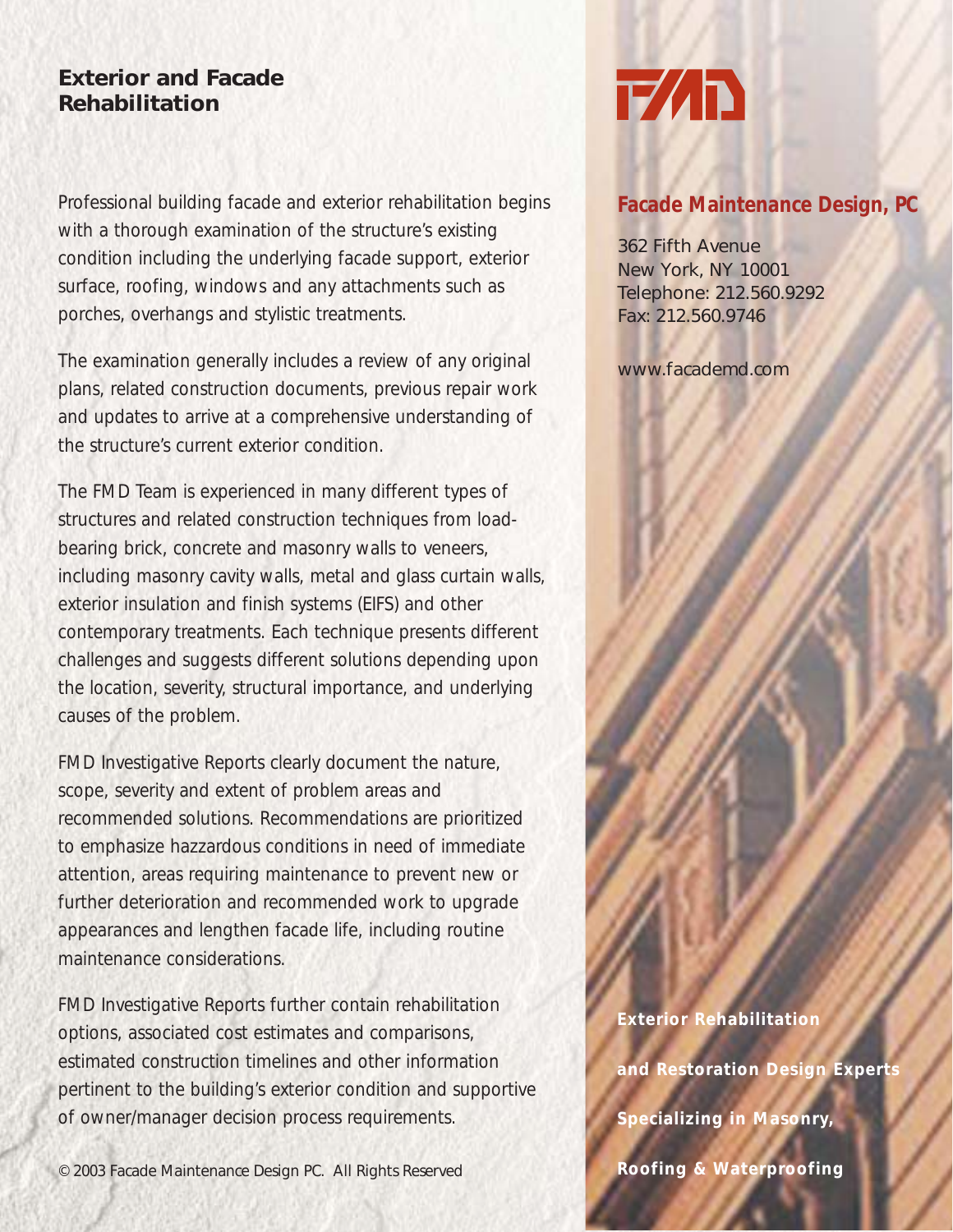## **Exterior and Facade Rehabilitation**

Professional building facade and exterior rehabilitation begins with a thorough examination of the structure's existing condition including the underlying facade support, exterior surface, roofing, windows and any attachments such as porches, overhangs and stylistic treatments.

The examination generally includes a review of any original plans, related construction documents, previous repair work and updates to arrive at a comprehensive understanding of the structure's current exterior condition.

The FMD Team is experienced in many different types of structures and related construction techniques from loadbearing brick, concrete and masonry walls to veneers, including masonry cavity walls, metal and glass curtain walls, exterior insulation and finish systems (EIFS) and other contemporary treatments. Each technique presents different challenges and suggests different solutions depending upon the location, severity, structural importance, and underlying causes of the problem.

FMD Investigative Reports clearly document the nature, scope, severity and extent of problem areas and recommended solutions. Recommendations are prioritized to emphasize hazzardous conditions in need of immediate attention, areas requiring maintenance to prevent new or further deterioration and recommended work to upgrade appearances and lengthen facade life, including routine maintenance considerations.

FMD Investigative Reports further contain rehabilitation options, associated cost estimates and comparisons, estimated construction timelines and other information pertinent to the building's exterior condition and supportive of owner/manager decision process requirements.

© 2003 Facade Maintenance Design PC. All Rights Reserved

## **T/ID**

## **Facade Maintenance Design, PC**

362 Fifth Avenue New York, NY 10001 Telephone: 212.560.9292 Fax: 212.560.9746

www.facademd.com

**Exterior Rehabilitation and Restoration Design Experts Specializing in Masonry, Roofing & Waterproofing**